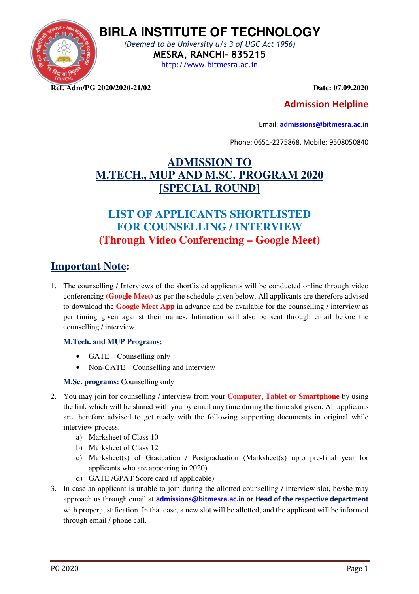

**BIRLA INSTITUTE OF TECHNOLOGY**  (Deemed to be University u/s 3 of UGC Act 1956)

MESRA, RANCHI- 835215

http://www.bitmesra.ac.in

**Ref. Adm/PG 2020/2020-21/02 Date: 07.09.2020** 

#### Admission Helpline

Email: admissions@bitmesra.ac.in

Phone: 0651-2275868, Mobile: 9508050840

### **ADMISSION TO M.TECH., MUP AND M.SC. PROGRAM 2020 [SPECIAL ROUND]**

## **LIST OF APPLICANTS SHORTLISTED FOR COUNSELLING / INTERVIEW (Through Video Conferencing – Google Meet)**

## **Important Note:**

1. The counselling / Interviews of the shortlisted applicants will be conducted online through video conferencing **(Google Meet)** as per the schedule given below. All applicants are therefore advised to download the **Google Meet App** in advance and be available for the counselling / interview as per timing given against their names. Intimation will also be sent through email before the counselling / interview.

#### **M.Tech. and MUP Programs:**

- GATE Counselling only
- Non-GATE Counselling and Interview

#### **M.Sc. programs:** Counselling only

- 2. You may join for counselling / interview from your **Computer, Tablet or Smartphone** by using the link which will be shared with you by email any time during the time slot given. All applicants are therefore advised to get ready with the following supporting documents in original while interview process.
	- a) Marksheet of Class 10
	- b) Marksheet of Class 12
	- c) Marksheet(s) of Graduation / Postgraduation (Marksheet(s) upto pre-final year for applicants who are appearing in 2020).
	- d) GATE /GPAT Score card (if applicable)
- 3. In case an applicant is unable to join during the allotted counselling / interview slot, he/she may approach us through email at admissions@bitmesra.ac.in or Head of the respective department with proper justification. In that case, a new slot will be allotted, and the applicant will be informed through email / phone call.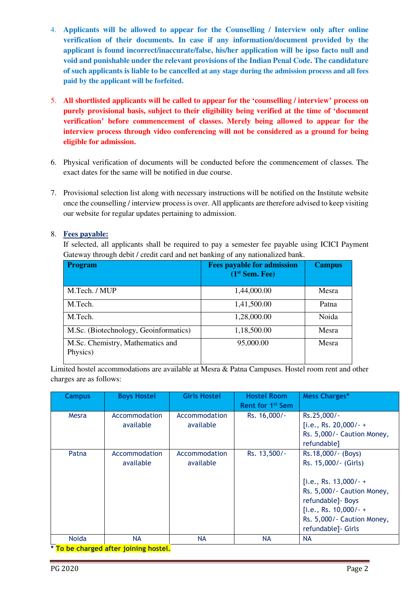- 4. **Applicants will be allowed to appear for the Counselling / Interview only after online verification of their documents. In case if any information/document provided by the applicant is found incorrect/inaccurate/false, his/her application will be ipso facto null and void and punishable under the relevant provisions of the Indian Penal Code. The candidature of such applicants is liable to be cancelled at any stage during the admission process and all fees paid by the applicant will be forfeited.**
- 5. **All shortlisted applicants will be called to appear for the 'counselling / interview' process on purely provisional basis, subject to their eligibility being verified at the time of 'document verification' before commencement of classes. Merely being allowed to appear for the interview process through video conferencing will not be considered as a ground for being eligible for admission.**
- 6. Physical verification of documents will be conducted before the commencement of classes. The exact dates for the same will be notified in due course.
- 7. Provisional selection list along with necessary instructions will be notified on the Institute website once the counselling / interview process is over. All applicants are therefore advised to keep visiting our website for regular updates pertaining to admission.

#### 8. **Fees payable:**

If selected, all applicants shall be required to pay a semester fee payable using ICICI Payment Gateway through debit / credit card and net banking of any nationalized bank.

| <b>Program</b>                               | <b>Fees payable for admission</b><br>(1 <sup>st</sup> Sem. Fee) | <b>Campus</b> |
|----------------------------------------------|-----------------------------------------------------------------|---------------|
| M.Tech. / MUP                                | 1,44,000.00                                                     | Mesra         |
| M.Tech.                                      | 1,41,500.00                                                     | Patna         |
| M.Tech.                                      | 1,28,000.00                                                     | Noida         |
| M.Sc. (Biotechnology, Geoinformatics)        | 1,18,500.00                                                     | Mesra         |
| M.Sc. Chemistry, Mathematics and<br>Physics) | 95,000.00                                                       | Mesra         |

Limited hostel accommodations are available at Mesra & Patna Campuses. Hostel room rent and other charges are as follows:

| <b>Campus</b> | <b>Boys Hostel</b>                          | <b>Girls Hostel</b>        | <b>Hostel Room</b><br>Rent for 1 <sup>st</sup> Sem | <b>Mess Charges*</b>                                                                                                                                                                                       |
|---------------|---------------------------------------------|----------------------------|----------------------------------------------------|------------------------------------------------------------------------------------------------------------------------------------------------------------------------------------------------------------|
| Mesra         | Accommodation<br>available                  | Accommodation<br>available | Rs. 16,000/-                                       | Rs.25,000/-<br>[i.e., Rs. 20,000/-+<br>Rs. 5,000/- Caution Money,<br>refundable]                                                                                                                           |
| Patna         | Accommodation<br>available                  | Accommodation<br>available | Rs. 13,500/-                                       | Rs.18,000/- (Boys)<br>Rs. 15,000/- (Girls)<br>[i.e., Rs. $13,000/- +$<br>Rs. 5,000/- Caution Money,<br>refundable] - Boys<br>[i.e., Rs. $10,000/ - +$<br>Rs. 5,000/- Caution Money,<br>refundable] - Girls |
| <b>Noida</b>  | <b>NA</b>                                   | <b>NA</b>                  | <b>NA</b>                                          | <b>NA</b>                                                                                                                                                                                                  |
|               | <b>* To be charged after joining hostel</b> |                            |                                                    |                                                                                                                                                                                                            |

<u>charged after joining hos</u>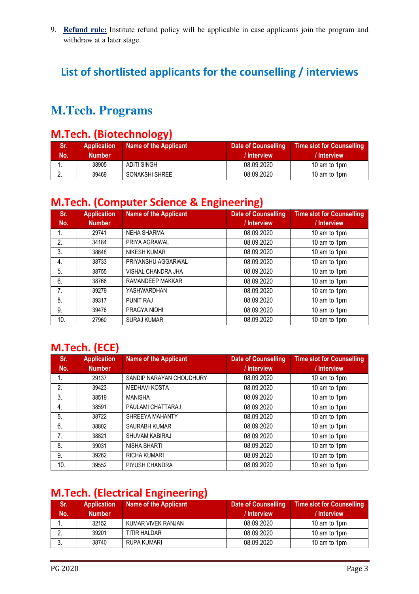9. **Refund rule:** Institute refund policy will be applicable in case applicants join the program and withdraw at a later stage.

# List of shortlisted applicants for the counselling / interviews

# **M.Tech. Programs**

#### M.Tech. (Biotechnology)

| Sr.<br>No. | <b>Application</b><br><b>Number</b> | Name of the Applicant | <b>Date of Counselling</b><br>/ Interview | <b>Time slot for Counselling</b><br>/ Interview |
|------------|-------------------------------------|-----------------------|-------------------------------------------|-------------------------------------------------|
|            | 38905                               | ADITI SINGH           | 08.09.2020                                | 10 am to 1pm                                    |
|            | 39469                               | SONAKSHI SHREE        | 08.09.2020                                | 10 am to 1pm                                    |

# M.Tech. (Computer Science & Engineering)

| Sr.<br>No. | <b>Application</b><br><b>Number</b> | <b>Name of the Applicant</b> | <b>Date of Counselling</b><br>/ Interview | <b>Time slot for Counselling</b><br>/ Interview |
|------------|-------------------------------------|------------------------------|-------------------------------------------|-------------------------------------------------|
| 1.         | 29741                               | <b>NEHA SHARMA</b>           | 08.09.2020                                | 10 am to 1pm                                    |
| 2.         | 34184                               | PRIYA AGRAWAL                | 08.09.2020                                | 10 am to 1pm                                    |
| 3.         | 38648                               | <b>NIKESH KUMAR</b>          | 08.09.2020                                | 10 am to 1pm                                    |
| 4.         | 38733                               | PRIYANSHU AGGARWAL           | 08.09.2020                                | 10 am to 1pm                                    |
| 5.         | 38755                               | VISHAL CHANDRA JHA           | 08.09.2020                                | 10 am to 1pm                                    |
| 6.         | 38766                               | RAMANDEEP MAKKAR             | 08.09.2020                                | 10 am to 1pm                                    |
| 7.         | 39279                               | YASHWARDHAN                  | 08.09.2020                                | 10 am to 1pm                                    |
| 8.         | 39317                               | <b>PUNIT RAJ</b>             | 08.09.2020                                | 10 am to 1pm                                    |
| 9.         | 39476                               | PRAGYA NIDHI                 | 08.09.2020                                | 10 am to 1pm                                    |
| 10.        | 27960                               | <b>SURAJ KUMAR</b>           | 08.09.2020                                | 10 am to 1pm                                    |

#### M.Tech. (ECE)

| Sr.<br>No. | <b>Application</b><br><b>Number</b> | <b>Name of the Applicant</b> | <b>Date of Counselling</b><br>/ Interview | <b>Time slot for Counselling</b><br>/ Interview |
|------------|-------------------------------------|------------------------------|-------------------------------------------|-------------------------------------------------|
| 1.         | 29137                               | SANDIP NARAYAN CHOUDHURY     | 08.09.2020                                | 10 am to 1pm                                    |
| 2.         | 39423                               | <b>MEDHAVI KOSTA</b>         | 08.09.2020                                | 10 am to 1pm                                    |
| 3.         | 38519                               | <b>MANISHA</b>               | 08.09.2020                                | 10 am to 1pm                                    |
| 4.         | 38591                               | PAULAMI CHATTARAJ            | 08.09.2020                                | 10 am to 1pm                                    |
| 5.         | 38722                               | SHREEYA MAHANTY              | 08.09.2020                                | 10 am to 1pm                                    |
| 6.         | 38802                               | <b>SAURABH KUMAR</b>         | 08.09.2020                                | 10 am to 1pm                                    |
| 7.         | 38821                               | SHUVAM KABIRAJ               | 08.09.2020                                | 10 am to 1pm                                    |
| 8.         | 39031                               | <b>NISHA BHARTI</b>          | 08.09.2020                                | 10 am to 1pm                                    |
| 9.         | 39262                               | RICHA KUMARI                 | 08.09.2020                                | 10 am to 1pm                                    |
| 10.        | 39552                               | PIYUSH CHANDRA               | 08.09.2020                                | 10 am to 1pm                                    |

# M.Tech. (Electrical Engineering)

| Sr. | <b>Application</b> | <b>Name of the Applicant</b> | <b>Date of Counselling</b> | <b>Time slot for Counselling</b> |
|-----|--------------------|------------------------------|----------------------------|----------------------------------|
| No. | <b>Number</b>      |                              | / Interview                | / Interview                      |
|     | 32152              | KUMAR VIVEK RANJAN           | 08.09.2020                 | 10 am to 1pm                     |
|     | 39201              | TITIR HALDAR                 | 08.09.2020                 | 10 am to 1pm                     |
|     | 38740              | RUPA KUMARI                  | 08.09.2020                 | 10 am to 1pm                     |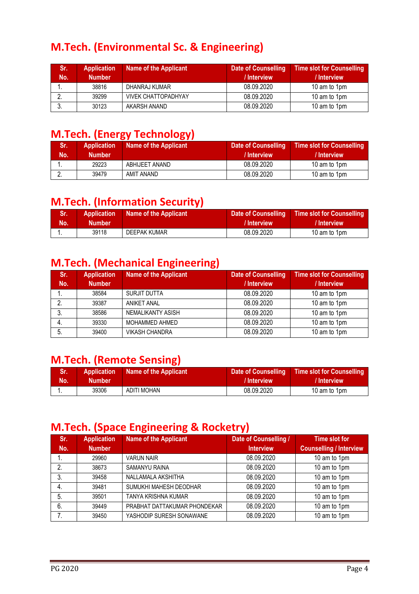# M.Tech. (Environmental Sc. & Engineering)

| Sr.<br>Mo. | <b>Application</b><br><b>Number</b> | Name of the Applicant      | <b>Date of Counselling</b><br>/ Interview | <b>Time slot for Counselling</b><br>/ Interview |
|------------|-------------------------------------|----------------------------|-------------------------------------------|-------------------------------------------------|
|            | 38816                               | DHANRAJ KUMAR              | 08.09.2020                                | 10 am to 1pm                                    |
|            | 39299                               | <b>VIVEK CHATTOPADHYAY</b> | 08.09.2020                                | 10 am to 1pm                                    |
|            | 30123                               | AKARSH ANAND               | 08.09.2020                                | 10 am to 1pm                                    |

### M.Tech. (Energy Technology)

| ISr. !<br>No. | <b>Application</b><br><b>Number</b> | Name of the Applicant | Date of Counselling<br>/ Interview | Time slot for Counselling<br>/ Interview |
|---------------|-------------------------------------|-----------------------|------------------------------------|------------------------------------------|
|               | 29223                               | ABHIJEET ANAND        | 08.09.2020                         | 10 am to 1pm                             |
|               | 39479                               | AMIT ANAND            | 08.09.2020                         | 10 am to 1pm                             |

### M.Tech. (Information Security)

| ¦Sr. ! | <b>Application</b> | Name of the Applicant | Date of Counselling | <b>Time slot for Counselling</b> |
|--------|--------------------|-----------------------|---------------------|----------------------------------|
| Mo.    | <b>Number</b>      |                       | / Interview         | / Interview                      |
|        | 39118              | DEEPAK KUMAR          | 08.09.2020          | 10 am to 1pm                     |

# M.Tech. (Mechanical Engineering)

| Sr. | <b>Application</b> | <b>Name of the Applicant</b> | <b>Date of Counselling</b> | <b>Time slot for Counselling</b> |
|-----|--------------------|------------------------------|----------------------------|----------------------------------|
| No. | <b>Number</b>      |                              | / Interview                | / Interview                      |
|     | 38584              | <b>SURJIT DUTTA</b>          | 08.09.2020                 | 10 am to 1pm                     |
| 2.  | 39387              | <b>ANIKET ANAL</b>           | 08.09.2020                 | 10 am to 1pm                     |
| 3.  | 38586              | NEMALIKANTY ASISH            | 08.09.2020                 | 10 am to 1pm                     |
|     | 39330              | MOHAMMED AHMED               | 08.09.2020                 | 10 am to 1pm                     |
| 5.  | 39400              | <b>VIKASH CHANDRA</b>        | 08.09.2020                 | 10 am to 1pm                     |

### M.Tech. (Remote Sensing)

| Sr. | <b>Application</b> | Name of the Applicant | Date of Counselling | <b>Time slot for Counselling</b> |
|-----|--------------------|-----------------------|---------------------|----------------------------------|
| No. | <b>Number</b>      |                       | / Interview         | / Interview                      |
|     | 39306              | ADITI MOHAN           | 08.09.2020          | 10 am to 1pm                     |

#### M.Tech. (Space Engineering & Rocketry)

| Sr. | <b>Application</b> | <b>Name of the Applicant</b> | Date of Counselling / | Time slot for                  |
|-----|--------------------|------------------------------|-----------------------|--------------------------------|
| No. | <b>Number</b>      |                              | <b>Interview</b>      | <b>Counselling / Interview</b> |
|     | 29960              | <b>VARUN NAIR</b>            | 08.09.2020            | 10 am to 1pm                   |
| 2.  | 38673              | <b>SAMANYU RAINA</b>         | 08.09.2020            | 10 am to 1pm                   |
| 3.  | 39458              | NALLAMALA AKSHITHA           | 08.09.2020            | 10 am to 1pm                   |
| 4.  | 39481              | SUMUKHI MAHESH DEODHAR       | 08.09.2020            | 10 am to 1pm                   |
| 5.  | 39501              | TANYA KRISHNA KUMAR          | 08.09.2020            | 10 am to 1pm                   |
| 6.  | 39449              | PRABHAT DATTAKUMAR PHONDEKAR | 08.09.2020            | 10 am to 1pm                   |
|     | 39450              | YASHODIP SURESH SONAWANE     | 08.09.2020            | 10 am to 1pm                   |